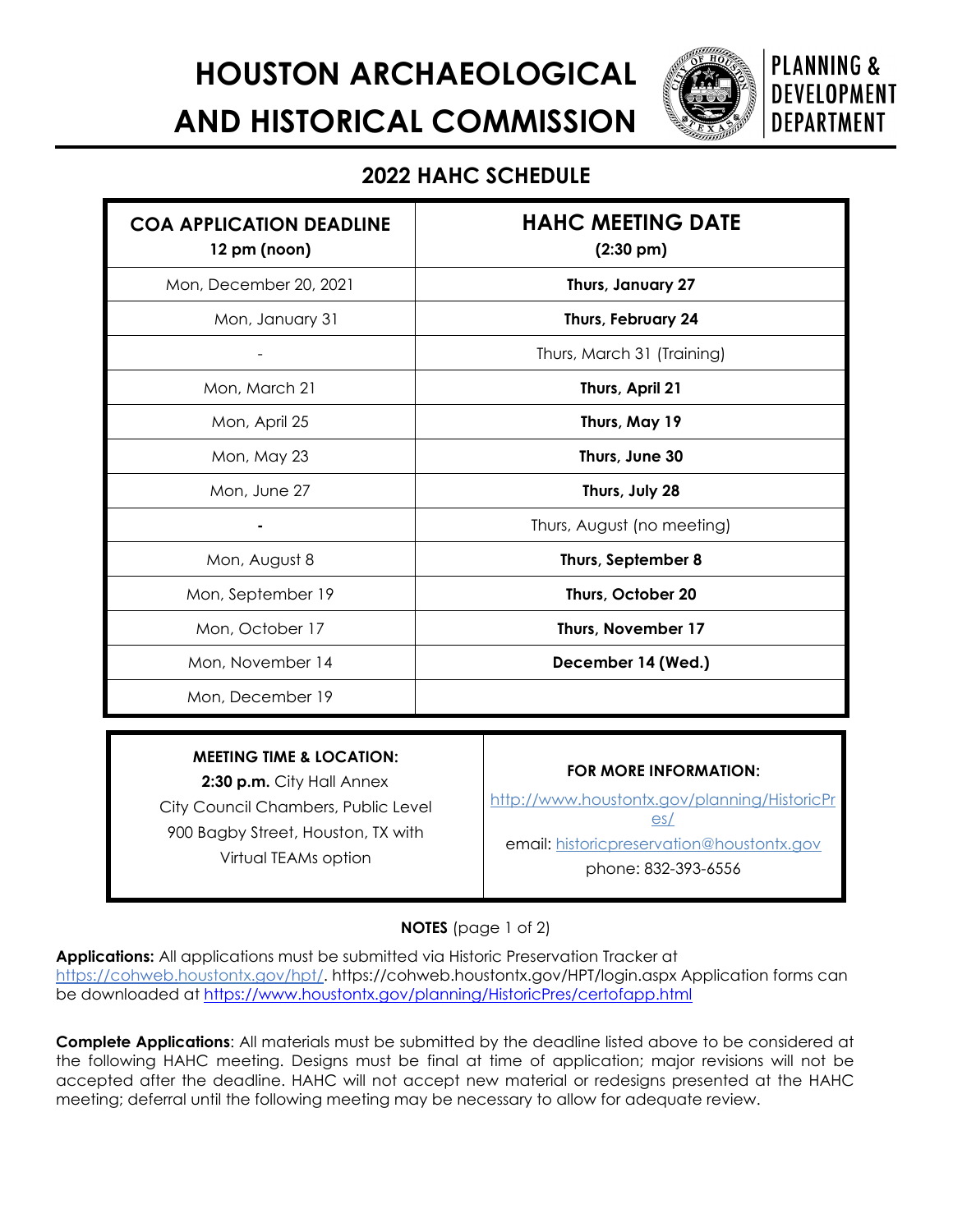**HOUSTON ARCHAEOLOGICAL AND HISTORICAL COMMISSION**

**PLANNING & DEVELOPMENT DEPARTMENT** 

## **2022 HAHC SCHEDULE**

| <b>COA APPLICATION DEADLINE</b><br>12 pm (noon) | <b>HAHC MEETING DATE</b><br>$(2:30 \text{ pm})$ |
|-------------------------------------------------|-------------------------------------------------|
| Mon, December 20, 2021                          | Thurs, January 27                               |
| Mon, January 31                                 | Thurs, February 24                              |
|                                                 | Thurs, March 31 (Training)                      |
| Mon, March 21                                   | Thurs, April 21                                 |
| Mon, April 25                                   | Thurs, May 19                                   |
| Mon, May 23                                     | Thurs, June 30                                  |
| Mon, June 27                                    | Thurs, July 28                                  |
|                                                 | Thurs, August (no meeting)                      |
| Mon, August 8                                   | Thurs, September 8                              |
| Mon, September 19                               | Thurs, October 20                               |
| Mon, October 17                                 | Thurs, November 17                              |
| Mon, November 14                                | December 14 (Wed.)                              |
| Mon, December 19                                |                                                 |

## **MEETING TIME & LOCATION:**

**2:30 p.m.** City Hall Annex City Council Chambers, Public Level 900 Bagby Street, Houston, TX with Virtual TEAMs option

## **FOR MORE INFORMATION:**

http://www.houstontx.gov/planning/HistoricPr es/

email: [historicpreservation@houstontx.gov](mailto:historicpreservation@houstontx.gov)

phone: 832-393-6556

**NOTES** (page 1 of 2)

**Applications:** All applications must be submitted via Historic Preservation Tracker at [https://cohweb.houstontx.gov/hpt/.](https://cohweb.houstontx.gov/hpt/) https://cohweb.houstontx.gov/HPT/login.aspx Application forms can be downloaded at<https://www.houstontx.gov/planning/HistoricPres/certofapp.html>

**Complete Applications**: All materials must be submitted by the deadline listed above to be considered at the following HAHC meeting. Designs must be final at time of application; major revisions will not be accepted after the deadline. HAHC will not accept new material or redesigns presented at the HAHC meeting; deferral until the following meeting may be necessary to allow for adequate review.